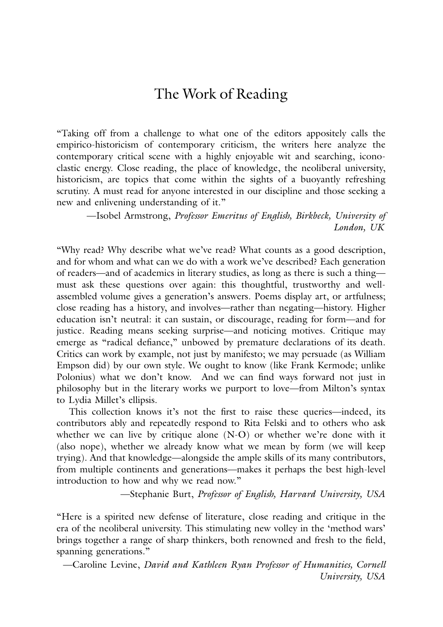### The Work of Reading

"Taking off from a challenge to what one of the editors appositely calls the empirico-historicism of contemporary criticism, the writers here analyze the contemporary critical scene with a highly enjoyable wit and searching, iconoclastic energy. Close reading, the place of knowledge, the neoliberal university, historicism, are topics that come within the sights of a buoyantly refreshing scrutiny. A must read for anyone interested in our discipline and those seeking a new and enlivening understanding of it."

—Isobel Armstrong, *Professor Emeritus of English, Birkbeck, University of London, UK*

"Why read? Why describe what we've read? What counts as a good description, and for whom and what can we do with a work we've described? Each generation of readers—and of academics in literary studies, as long as there is such a thing must ask these questions over again: this thoughtful, trustworthy and wellassembled volume gives a generation's answers. Poems display art, or artfulness; close reading has a history, and involves—rather than negating—history. Higher education isn't neutral: it can sustain, or discourage, reading for form—and for justice. Reading means seeking surprise—and noticing motives. Critique may emerge as "radical defiance," unbowed by premature declarations of its death. Critics can work by example, not just by manifesto; we may persuade (as William Empson did) by our own style. We ought to know (like Frank Kermode; unlike Polonius) what we don't know. And we can find ways forward not just in philosophy but in the literary works we purport to love—from Milton's syntax to Lydia Millet's ellipsis.

This collection knows it's not the first to raise these queries—indeed, its contributors ably and repeatedly respond to Rita Felski and to others who ask whether we can live by critique alone (N-O) or whether we're done with it (also nope), whether we already know what we mean by form (we will keep trying). And that knowledge—alongside the ample skills of its many contributors, from multiple continents and generations—makes it perhaps the best high-level introduction to how and why we read now."

—Stephanie Burt, *Professor of English, Harvard University, USA*

"Here is a spirited new defense of literature, close reading and critique in the era of the neoliberal university. This stimulating new volley in the 'method wars' brings together a range of sharp thinkers, both renowned and fresh to the field, spanning generations."

—Caroline Levine, *David and Kathleen Ryan Professor of Humanities, Cornell University, USA*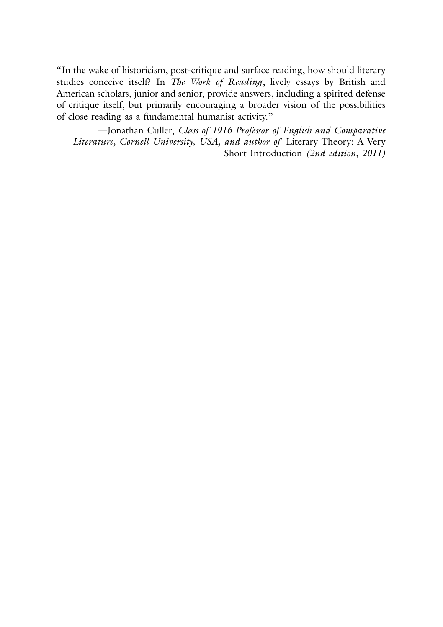"In the wake of historicism, post-critique and surface reading, how should literary studies conceive itself? In *The Work of Reading*, lively essays by British and American scholars, junior and senior, provide answers, including a spirited defense of critique itself, but primarily encouraging a broader vision of the possibilities of close reading as a fundamental humanist activity."

—Jonathan Culler, *Class of 1916 Professor of English and Comparative Literature, Cornell University, USA, and author of* Literary Theory: A Very Short Introduction *(2nd edition, 2011)*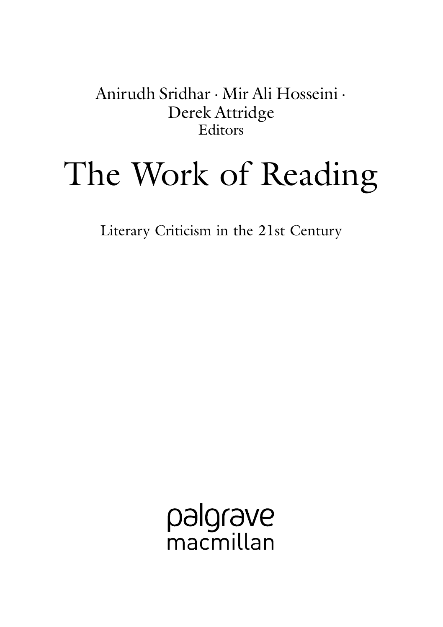Anirudh Sridhar · Mir Ali Hosseini · Derek Attridge Editors

# The Work of Reading

Literary Criticism in the 21st Century

palgrave macmillan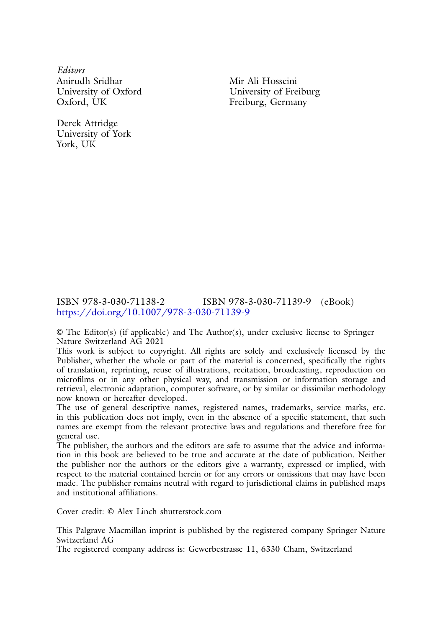*Editors* Anirudh Sridhar University of Oxford Oxford, UK

Derek Attridge University of York York, UK

Mir Ali Hosseini University of Freiburg Freiburg, Germany

#### ISBN 978-3-030-71138-2 ISBN 978-3-030-71139-9 (eBook) <https://doi.org/10.1007/978-3-030-71139-9>

© The Editor(s) (if applicable) and The Author(s), under exclusive license to Springer Nature Switzerland AG 2021

This work is subject to copyright. All rights are solely and exclusively licensed by the Publisher, whether the whole or part of the material is concerned, specifically the rights of translation, reprinting, reuse of illustrations, recitation, broadcasting, reproduction on microfilms or in any other physical way, and transmission or information storage and retrieval, electronic adaptation, computer software, or by similar or dissimilar methodology now known or hereafter developed.

The use of general descriptive names, registered names, trademarks, service marks, etc. in this publication does not imply, even in the absence of a specific statement, that such names are exempt from the relevant protective laws and regulations and therefore free for general use.

The publisher, the authors and the editors are safe to assume that the advice and information in this book are believed to be true and accurate at the date of publication. Neither the publisher nor the authors or the editors give a warranty, expressed or implied, with respect to the material contained herein or for any errors or omissions that may have been made. The publisher remains neutral with regard to jurisdictional claims in published maps and institutional affiliations.

Cover credit: © Alex Linch shutterstock.com

This Palgrave Macmillan imprint is published by the registered company Springer Nature Switzerland AG

The registered company address is: Gewerbestrasse 11, 6330 Cham, Switzerland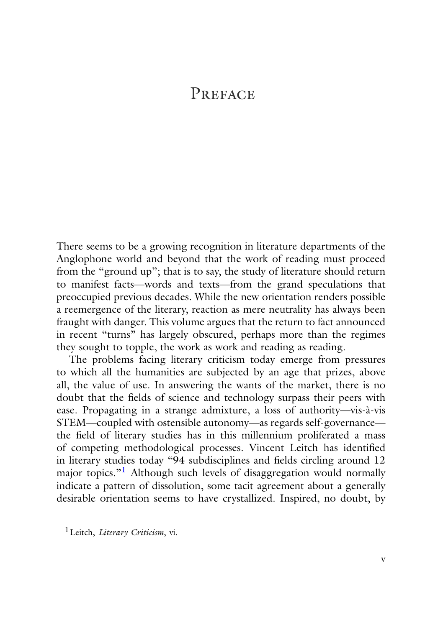## PREFACE

There seems to be a growing recognition in literature departments of the Anglophone world and beyond that the work of reading must proceed from the "ground up"; that is to say, the study of literature should return to manifest facts—words and texts—from the grand speculations that preoccupied previous decades. While the new orientation renders possible a reemergence of the literary, reaction as mere neutrality has always been fraught with danger. This volume argues that the return to fact announced in recent "turns" has largely obscured, perhaps more than the regimes they sought to topple, the work as work and reading as reading.

The problems facing literary criticism today emerge from pressures to which all the humanities are subjected by an age that prizes, above all, the value of use. In answering the wants of the market, there is no doubt that the fields of science and technology surpass their peers with ease. Propagating in a strange admixture, a loss of authority—vis-à-vis STEM—coupled with ostensible autonomy—as regards self-governance the field of literary studies has in this millennium proliferated a mass of competing methodological processes. Vincent Leitch has identified in literary studies today "94 subdisciplines and fields circling around 12 major topics."<sup>1</sup> Although such levels of disaggregation would normally indicate a pattern of dissolution, some tacit agreement about a generally desirable orientation seems to have crystallized. Inspired, no doubt, by

<span id="page-4-0"></span>1Leitch, *Literary Criticism*, vi.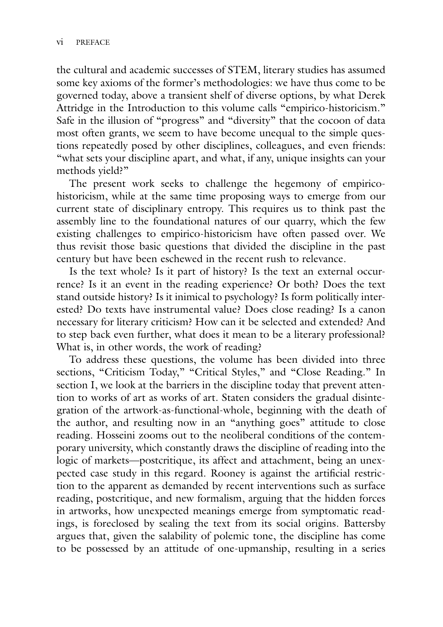the cultural and academic successes of STEM, literary studies has assumed some key axioms of the former's methodologies: we have thus come to be governed today, above a transient shelf of diverse options, by what Derek Attridge in the Introduction to this volume calls "empirico-historicism." Safe in the illusion of "progress" and "diversity" that the cocoon of data most often grants, we seem to have become unequal to the simple questions repeatedly posed by other disciplines, colleagues, and even friends: "what sets your discipline apart, and what, if any, unique insights can your methods yield?"

The present work seeks to challenge the hegemony of empiricohistoricism, while at the same time proposing ways to emerge from our current state of disciplinary entropy. This requires us to think past the assembly line to the foundational natures of our quarry, which the few existing challenges to empirico-historicism have often passed over. We thus revisit those basic questions that divided the discipline in the past century but have been eschewed in the recent rush to relevance.

Is the text whole? Is it part of history? Is the text an external occurrence? Is it an event in the reading experience? Or both? Does the text stand outside history? Is it inimical to psychology? Is form politically interested? Do texts have instrumental value? Does close reading? Is a canon necessary for literary criticism? How can it be selected and extended? And to step back even further, what does it mean to be a literary professional? What is, in other words, the work of reading?

To address these questions, the volume has been divided into three sections, "Criticism Today," "Critical Styles," and "Close Reading." In section I, we look at the barriers in the discipline today that prevent attention to works of art as works of art. Staten considers the gradual disintegration of the artwork-as-functional-whole, beginning with the death of the author, and resulting now in an "anything goes" attitude to close reading. Hosseini zooms out to the neoliberal conditions of the contemporary university, which constantly draws the discipline of reading into the logic of markets—postcritique, its affect and attachment, being an unexpected case study in this regard. Rooney is against the artificial restriction to the apparent as demanded by recent interventions such as surface reading, postcritique, and new formalism, arguing that the hidden forces in artworks, how unexpected meanings emerge from symptomatic readings, is foreclosed by sealing the text from its social origins. Battersby argues that, given the salability of polemic tone, the discipline has come to be possessed by an attitude of one-upmanship, resulting in a series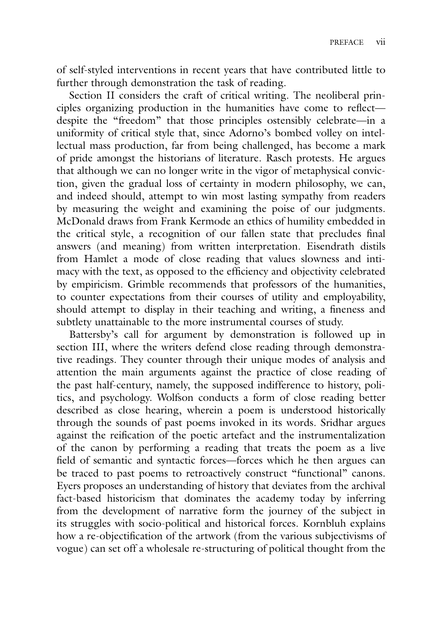of self-styled interventions in recent years that have contributed little to further through demonstration the task of reading.

Section II considers the craft of critical writing. The neoliberal principles organizing production in the humanities have come to reflect despite the "freedom" that those principles ostensibly celebrate—in a uniformity of critical style that, since Adorno's bombed volley on intellectual mass production, far from being challenged, has become a mark of pride amongst the historians of literature. Rasch protests. He argues that although we can no longer write in the vigor of metaphysical conviction, given the gradual loss of certainty in modern philosophy, we can, and indeed should, attempt to win most lasting sympathy from readers by measuring the weight and examining the poise of our judgments. McDonald draws from Frank Kermode an ethics of humility embedded in the critical style, a recognition of our fallen state that precludes final answers (and meaning) from written interpretation. Eisendrath distils from Hamlet a mode of close reading that values slowness and intimacy with the text, as opposed to the efficiency and objectivity celebrated by empiricism. Grimble recommends that professors of the humanities, to counter expectations from their courses of utility and employability, should attempt to display in their teaching and writing, a fineness and subtlety unattainable to the more instrumental courses of study.

Battersby's call for argument by demonstration is followed up in section III, where the writers defend close reading through demonstrative readings. They counter through their unique modes of analysis and attention the main arguments against the practice of close reading of the past half-century, namely, the supposed indifference to history, politics, and psychology. Wolfson conducts a form of close reading better described as close hearing, wherein a poem is understood historically through the sounds of past poems invoked in its words. Sridhar argues against the reification of the poetic artefact and the instrumentalization of the canon by performing a reading that treats the poem as a live field of semantic and syntactic forces—forces which he then argues can be traced to past poems to retroactively construct "functional" canons. Eyers proposes an understanding of history that deviates from the archival fact-based historicism that dominates the academy today by inferring from the development of narrative form the journey of the subject in its struggles with socio-political and historical forces. Kornbluh explains how a re-objectification of the artwork (from the various subjectivisms of vogue) can set off a wholesale re-structuring of political thought from the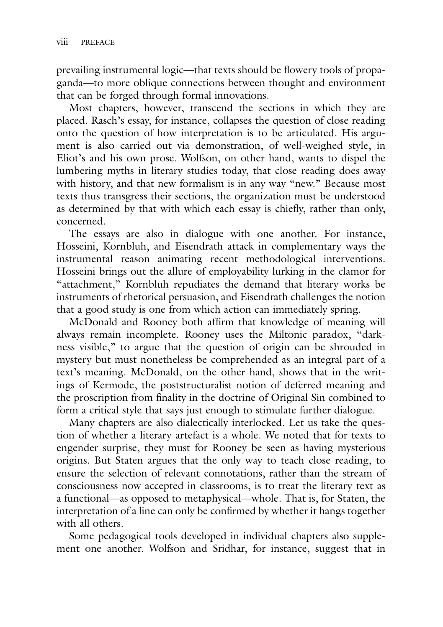prevailing instrumental logic—that texts should be flowery tools of propaganda—to more oblique connections between thought and environment that can be forged through formal innovations.

Most chapters, however, transcend the sections in which they are placed. Rasch's essay, for instance, collapses the question of close reading onto the question of how interpretation is to be articulated. His argument is also carried out via demonstration, of well-weighed style, in Eliot's and his own prose. Wolfson, on other hand, wants to dispel the lumbering myths in literary studies today, that close reading does away with history, and that new formalism is in any way "new." Because most texts thus transgress their sections, the organization must be understood as determined by that with which each essay is chiefly, rather than only, concerned.

The essays are also in dialogue with one another. For instance, Hosseini, Kornbluh, and Eisendrath attack in complementary ways the instrumental reason animating recent methodological interventions. Hosseini brings out the allure of employability lurking in the clamor for "attachment," Kornbluh repudiates the demand that literary works be instruments of rhetorical persuasion, and Eisendrath challenges the notion that a good study is one from which action can immediately spring.

McDonald and Rooney both affirm that knowledge of meaning will always remain incomplete. Rooney uses the Miltonic paradox, "darkness visible," to argue that the question of origin can be shrouded in mystery but must nonetheless be comprehended as an integral part of a text's meaning. McDonald, on the other hand, shows that in the writings of Kermode, the poststructuralist notion of deferred meaning and the proscription from finality in the doctrine of Original Sin combined to form a critical style that says just enough to stimulate further dialogue.

Many chapters are also dialectically interlocked. Let us take the question of whether a literary artefact is a whole. We noted that for texts to engender surprise, they must for Rooney be seen as having mysterious origins. But Staten argues that the only way to teach close reading, to ensure the selection of relevant connotations, rather than the stream of consciousness now accepted in classrooms, is to treat the literary text as a functional—as opposed to metaphysical—whole. That is, for Staten, the interpretation of a line can only be confirmed by whether it hangs together with all others.

Some pedagogical tools developed in individual chapters also supplement one another. Wolfson and Sridhar, for instance, suggest that in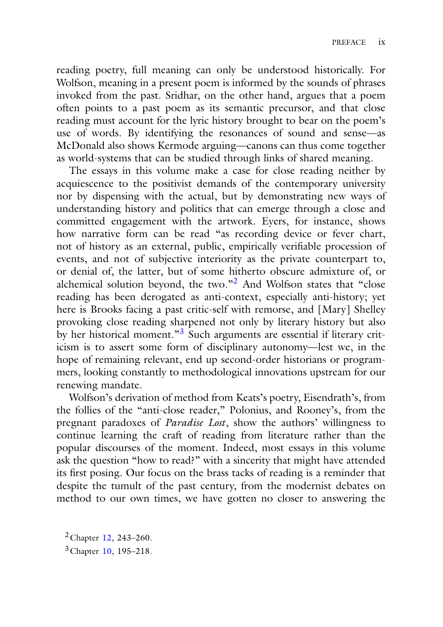reading poetry, full meaning can only be understood historically. For Wolfson, meaning in a present poem is informed by the sounds of phrases invoked from the past. Sridhar, on the other hand, argues that a poem often points to a past poem as its semantic precursor, and that close reading must account for the lyric history brought to bear on the poem's use of words. By identifying the resonances of sound and sense—as McDonald also shows Kermode arguing—canons can thus come together as world-systems that can be studied through links of shared meaning.

The essays in this volume make a case for close reading neither by acquiescence to the positivist demands of the contemporary university nor by dispensing with the actual, but by demonstrating new ways of understanding history and politics that can emerge through a close and committed engagement with the artwork. Eyers, for instance, shows how narrative form can be read "as recording device or fever chart, not of history as an external, public, empirically verifiable procession of events, and not of subjective interiority as the private counterpart to, or denial of, the latter, but of some hitherto obscure admixture of, or alchemical solution beyond, the two."[2](#page-8-0) And Wolfson states that "close reading has been derogated as anti-context, especially anti-history; yet here is Brooks facing a past critic-self with remorse, and [Mary] Shelley provoking close reading sharpened not only by literary history but also by her historical moment."<sup>3</sup> Such arguments are essential if literary criticism is to assert some form of disciplinary autonomy—lest we, in the hope of remaining relevant, end up second-order historians or programmers, looking constantly to methodological innovations upstream for our renewing mandate.

Wolfson's derivation of method from Keats's poetry, Eisendrath's, from the follies of the "anti-close reader," Polonius, and Rooney's, from the pregnant paradoxes of *Paradise Lost*, show the authors' willingness to continue learning the craft of reading from literature rather than the popular discourses of the moment. Indeed, most essays in this volume ask the question "how to read?" with a sincerity that might have attended its first posing. Our focus on the brass tacks of reading is a reminder that despite the tumult of the past century, from the modernist debates on method to our own times, we have gotten no closer to answering the

<span id="page-8-1"></span><span id="page-8-0"></span>2Chapter [12,](https://doi.org/10.1007/978-3-030-71139-9_12) 243–260. 3Chapter [10,](https://doi.org/10.1007/978-3-030-71139-9_10) 195–218.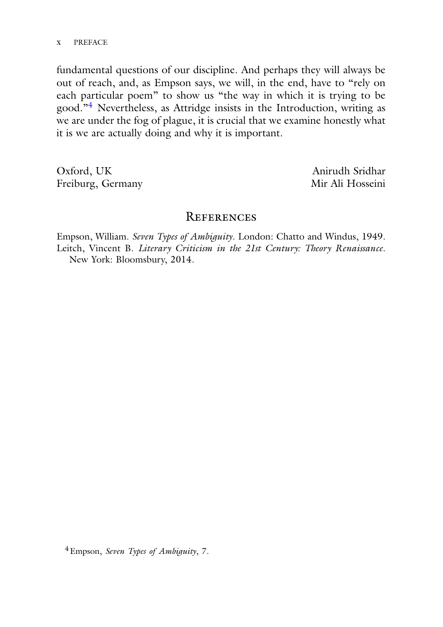#### x PREFACE

fundamental questions of our discipline. And perhaps they will always be out of reach, and, as Empson says, we will, in the end, have to "rely on each particular poem" to show us "the way in which it is trying to be good."[4](#page-9-0) Nevertheless, as Attridge insists in the Introduction, writing as we are under the fog of plague, it is crucial that we examine honestly what it is we are actually doing and why it is important.

Oxford, UK Freiburg, Germany

Anirudh Sridhar Mir Ali Hosseini

#### **REFERENCES**

Empson, William. *Seven Types of Ambiguity*. London: Chatto and Windus, 1949. Leitch, Vincent B. *Literary Criticism in the 21st Century: Theory Renaissance*. New York: Bloomsbury, 2014.

<span id="page-9-0"></span>4Empson, *Seven Types of Ambiguity*, 7.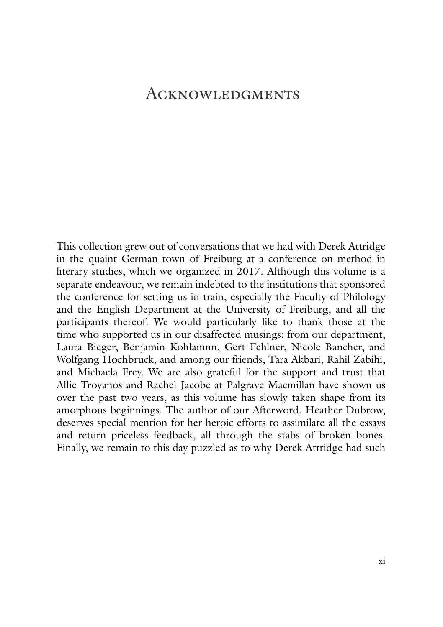## **ACKNOWLEDGMENTS**

This collection grew out of conversations that we had with Derek Attridge in the quaint German town of Freiburg at a conference on method in literary studies, which we organized in 2017. Although this volume is a separate endeavour, we remain indebted to the institutions that sponsored the conference for setting us in train, especially the Faculty of Philology and the English Department at the University of Freiburg, and all the participants thereof. We would particularly like to thank those at the time who supported us in our disaffected musings: from our department, Laura Bieger, Benjamin Kohlamnn, Gert Fehlner, Nicole Bancher, and Wolfgang Hochbruck, and among our friends, Tara Akbari, Rahil Zabihi, and Michaela Frey. We are also grateful for the support and trust that Allie Troyanos and Rachel Jacobe at Palgrave Macmillan have shown us over the past two years, as this volume has slowly taken shape from its amorphous beginnings. The author of our Afterword, Heather Dubrow, deserves special mention for her heroic efforts to assimilate all the essays and return priceless feedback, all through the stabs of broken bones. Finally, we remain to this day puzzled as to why Derek Attridge had such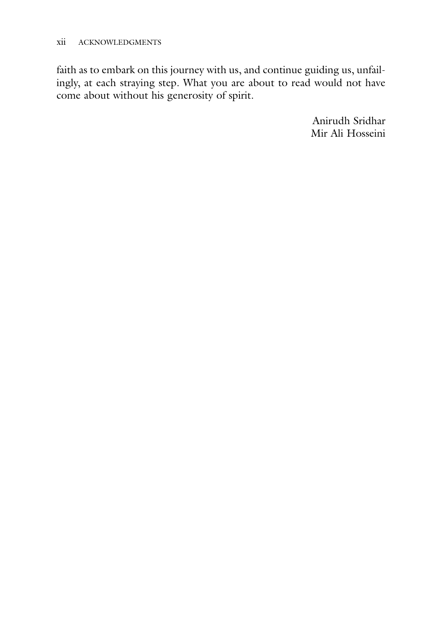faith as to embark on this journey with us, and continue guiding us, unfailingly, at each straying step. What you are about to read would not have come about without his generosity of spirit.

> Anirudh Sridhar Mir Ali Hosseini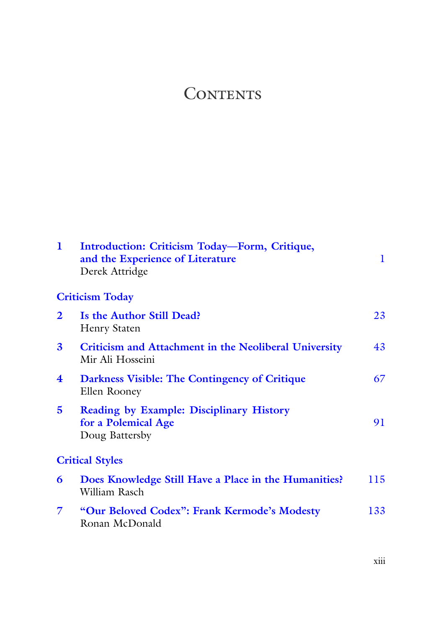## **CONTENTS**

| 1                       | Introduction: Criticism Today-Form, Critique,<br>and the Experience of Literature<br>Derek Attridge | 1   |
|-------------------------|-----------------------------------------------------------------------------------------------------|-----|
|                         | <b>Criticism Today</b>                                                                              |     |
| $\mathbf{2}$            | Is the Author Still Dead?<br><b>Henry Staten</b>                                                    | 23  |
| 3                       | <b>Criticism and Attachment in the Neoliberal University</b><br>Mir Ali Hosseini                    | 43  |
| $\overline{\mathbf{4}}$ | Darkness Visible: The Contingency of Critique<br>Ellen Rooney                                       | 67  |
| 5                       | <b>Reading by Example: Disciplinary History</b><br>for a Polemical Age<br>Doug Battersby            | 91  |
|                         | <b>Critical Styles</b>                                                                              |     |
| 6                       | Does Knowledge Still Have a Place in the Humanities?<br>William Rasch                               | 115 |
| 7                       | "Our Beloved Codex": Frank Kermode's Modesty<br>Ronan McDonald                                      | 133 |
|                         |                                                                                                     |     |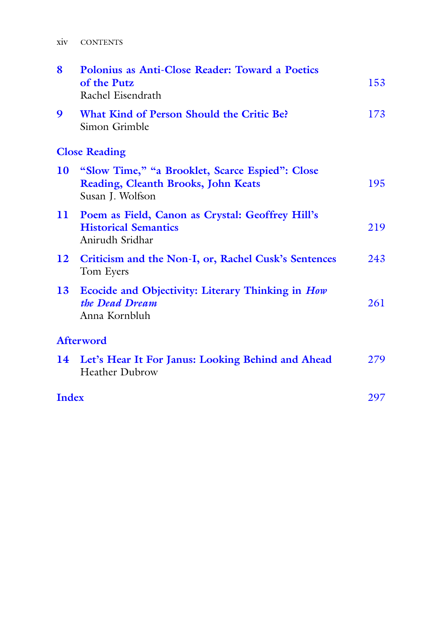| 8            | Polonius as Anti-Close Reader: Toward a Poetics<br>of the Putz<br>Rachel Eisendrath                        | 153 |
|--------------|------------------------------------------------------------------------------------------------------------|-----|
| 9            | What Kind of Person Should the Critic Be?<br>Simon Grimble                                                 | 173 |
|              | <b>Close Reading</b>                                                                                       |     |
| 10           | "Slow Time," "a Brooklet, Scarce Espied": Close<br>Reading, Cleanth Brooks, John Keats<br>Susan J. Wolfson | 195 |
| $\mathbf{u}$ | Poem as Field, Canon as Crystal: Geoffrey Hill's<br><b>Historical Semantics</b><br>Anirudh Sridhar         | 219 |
| 12           | Criticism and the Non-I, or, Rachel Cusk's Sentences<br>Tom Eyers                                          | 243 |
| 13           | <b>Ecocide and Objectivity: Literary Thinking in How</b><br>the Dead Dream<br>Anna Kornbluh                | 261 |
|              | Afterword                                                                                                  |     |
|              | 14 Let's Hear It For Janus: Looking Behind and Ahead<br><b>Heather Dubrow</b>                              | 279 |
| Index        |                                                                                                            | 297 |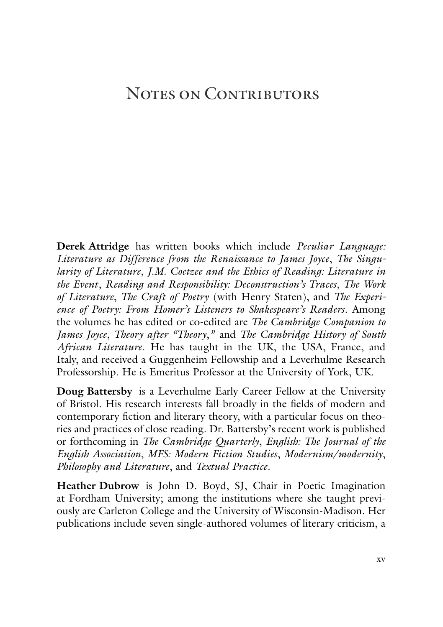## NOTES ON CONTRIBUTORS

**Derek Attridge** has written books which include *Peculiar Language: Literature as Difference from the Renaissance to James Joyce*, *The Singularity of Literature*, *J.M. Coetzee and the Ethics of Reading: Literature in the Event*, *Reading and Responsibility: Deconstruction's Traces*, *The Work of Literature*, *The Craft of Poetry* (with Henry Staten), and *The Experience of Poetry: From Homer's Listeners to Shakespeare's Readers*. Among the volumes he has edited or co-edited are *The Cambridge Companion to James Joyce*, *Theory after "Theory*,*"* and *The Cambridge History of South African Literature*. He has taught in the UK, the USA, France, and Italy, and received a Guggenheim Fellowship and a Leverhulme Research Professorship. He is Emeritus Professor at the University of York, UK.

**Doug Battersby** is a Leverhulme Early Career Fellow at the University of Bristol. His research interests fall broadly in the fields of modern and contemporary fiction and literary theory, with a particular focus on theories and practices of close reading. Dr. Battersby's recent work is published or forthcoming in *The Cambridge Quarterly*, *English: The Journal of the English Association*, *MFS: Modern Fiction Studies*, *Modernism/modernity*, *Philosophy and Literature*, and *Textual Practice*.

**Heather Dubrow** is John D. Boyd, SJ, Chair in Poetic Imagination at Fordham University; among the institutions where she taught previously are Carleton College and the University of Wisconsin-Madison. Her publications include seven single-authored volumes of literary criticism, a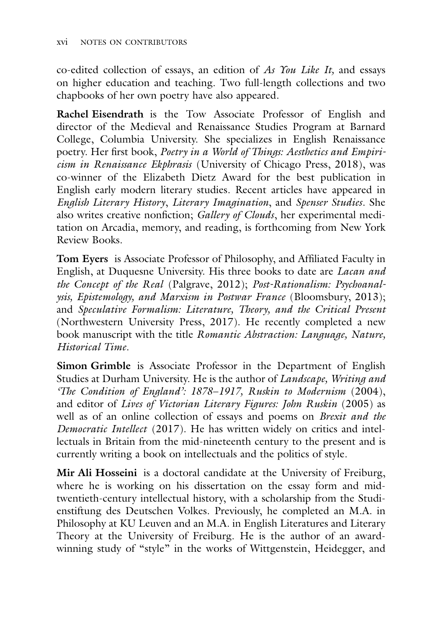co-edited collection of essays, an edition of *As You Like It,* and essays on higher education and teaching. Two full-length collections and two chapbooks of her own poetry have also appeared.

**Rachel Eisendrath** is the Tow Associate Professor of English and director of the Medieval and Renaissance Studies Program at Barnard College, Columbia University. She specializes in English Renaissance poetry. Her first book, *Poetry in a World of Things: Aesthetics and Empiricism in Renaissance Ekphrasis* (University of Chicago Press, 2018), was co-winner of the Elizabeth Dietz Award for the best publication in English early modern literary studies. Recent articles have appeared in *English Literary History*, *Literary Imagination*, and *Spenser Studies*. She also writes creative nonfiction; *Gallery of Clouds*, her experimental meditation on Arcadia, memory, and reading, is forthcoming from New York Review Books.

**Tom Eyers** is Associate Professor of Philosophy, and Affiliated Faculty in English, at Duquesne University. His three books to date are *Lacan and the Concept of the Real* (Palgrave, 2012); *Post-Rationalism: Psychoanalysis, Epistemology, and Marxism in Postwar France* (Bloomsbury, 2013); and *Speculative Formalism: Literature, Theory, and the Critical Present* (Northwestern University Press, 2017). He recently completed a new book manuscript with the title *Romantic Abstraction: Language, Nature, Historical Time*.

**Simon Grimble** is Associate Professor in the Department of English Studies at Durham University. He is the author of *Landscape, Writing and 'The Condition of England': 1878*–*1917, Ruskin to Modernism* (2004), and editor of *Lives of Victorian Literary Figures: John Ruskin* (2005) as well as of an online collection of essays and poems on *Brexit and the Democratic Intellect* (2017). He has written widely on critics and intellectuals in Britain from the mid-nineteenth century to the present and is currently writing a book on intellectuals and the politics of style.

**Mir Ali Hosseini** is a doctoral candidate at the University of Freiburg, where he is working on his dissertation on the essay form and midtwentieth-century intellectual history, with a scholarship from the Studienstiftung des Deutschen Volkes. Previously, he completed an M.A. in Philosophy at KU Leuven and an M.A. in English Literatures and Literary Theory at the University of Freiburg. He is the author of an awardwinning study of "style" in the works of Wittgenstein, Heidegger, and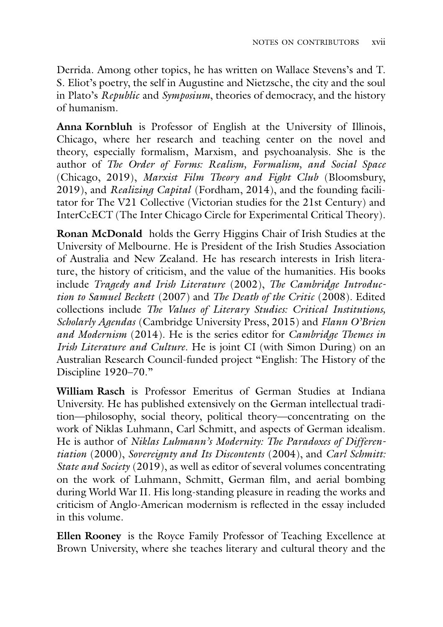Derrida. Among other topics, he has written on Wallace Stevens's and T. S. Eliot's poetry, the self in Augustine and Nietzsche, the city and the soul in Plato's *Republic* and *Symposium*, theories of democracy, and the history of humanism.

**Anna Kornbluh** is Professor of English at the University of Illinois, Chicago, where her research and teaching center on the novel and theory, especially formalism, Marxism, and psychoanalysis. She is the author of *The Order of Forms: Realism, Formalism, and Social Space* (Chicago, 2019), *Marxist Film Theory and Fight Club* (Bloomsbury, 2019), and *Realizing Capital* (Fordham, 2014), and the founding facilitator for The V21 Collective (Victorian studies for the 21st Century) and InterCcECT (The Inter Chicago Circle for Experimental Critical Theory).

**Ronan McDonald** holds the Gerry Higgins Chair of Irish Studies at the University of Melbourne. He is President of the Irish Studies Association of Australia and New Zealand. He has research interests in Irish literature, the history of criticism, and the value of the humanities. His books include *Tragedy and Irish Literature* (2002), *The Cambridge Introduction to Samuel Beckett* (2007) and *The Death of the Critic* (2008). Edited collections include *The Values of Literary Studies: Critical Institutions, Scholarly Agendas* (Cambridge University Press, 2015) and *Flann O'Brien and Modernism* (2014). He is the series editor for *Cambridge Themes in Irish Literature and Culture*. He is joint CI (with Simon During) on an Australian Research Council-funded project "English: The History of the Discipline 1920–70."

**William Rasch** is Professor Emeritus of German Studies at Indiana University. He has published extensively on the German intellectual tradition—philosophy, social theory, political theory—concentrating on the work of Niklas Luhmann, Carl Schmitt, and aspects of German idealism. He is author of *Niklas Luhmann's Modernity: The Paradoxes of Differentiation* (2000), *Sovereignty and Its Discontents* (2004), and *Carl Schmitt: State and Society* (2019), as well as editor of several volumes concentrating on the work of Luhmann, Schmitt, German film, and aerial bombing during World War II. His long-standing pleasure in reading the works and criticism of Anglo-American modernism is reflected in the essay included in this volume.

**Ellen Rooney** is the Royce Family Professor of Teaching Excellence at Brown University, where she teaches literary and cultural theory and the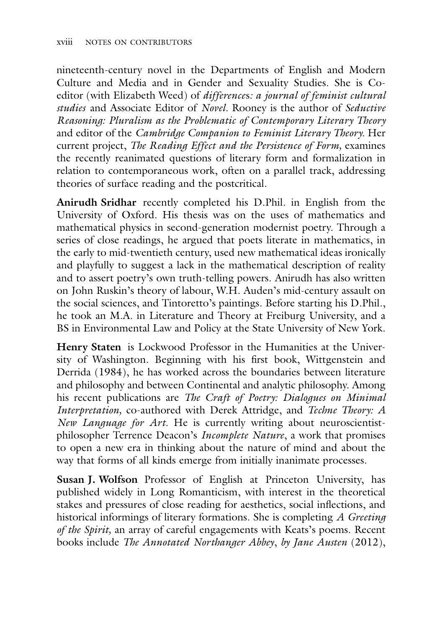nineteenth-century novel in the Departments of English and Modern Culture and Media and in Gender and Sexuality Studies. She is Coeditor (with Elizabeth Weed) of *difference*s*: a journal of feminist cultural studies* and Associate Editor of *Novel.* Rooney is the author of *Seductive Reasoning: Pluralism as the Problematic of Contemporary Literary Theory* and editor of the *Cambridge Companion to Feminist Literary Theory.* Her current project, *The Reading Effect and the Persistence of Form,* examines the recently reanimated questions of literary form and formalization in relation to contemporaneous work, often on a parallel track, addressing theories of surface reading and the postcritical.

**Anirudh Sridhar** recently completed his D.Phil. in English from the University of Oxford. His thesis was on the uses of mathematics and mathematical physics in second-generation modernist poetry. Through a series of close readings, he argued that poets literate in mathematics, in the early to mid-twentieth century, used new mathematical ideas ironically and playfully to suggest a lack in the mathematical description of reality and to assert poetry's own truth-telling powers. Anirudh has also written on John Ruskin's theory of labour, W.H. Auden's mid-century assault on the social sciences, and Tintoretto's paintings. Before starting his D.Phil., he took an M.A. in Literature and Theory at Freiburg University, and a BS in Environmental Law and Policy at the State University of New York.

**Henry Staten** is Lockwood Professor in the Humanities at the University of Washington. Beginning with his first book, Wittgenstein and Derrida (1984), he has worked across the boundaries between literature and philosophy and between Continental and analytic philosophy. Among his recent publications are *The Craft of Poetry: Dialogues on Minimal Interpretation,* co-authored with Derek Attridge, and *Techne Theory: A New Language for Art.* He is currently writing about neuroscientistphilosopher Terrence Deacon's *Incomplete Nature*, a work that promises to open a new era in thinking about the nature of mind and about the way that forms of all kinds emerge from initially inanimate processes.

**Susan J. Wolfson** Professor of English at Princeton University, has published widely in Long Romanticism, with interest in the theoretical stakes and pressures of close reading for aesthetics, social inflections, and historical informings of literary formations. She is completing *A Greeting of the Spirit,* an array of careful engagements with Keats's poems. Recent books include *The Annotated Northanger Abbey*, *by Jane Austen* (2012),